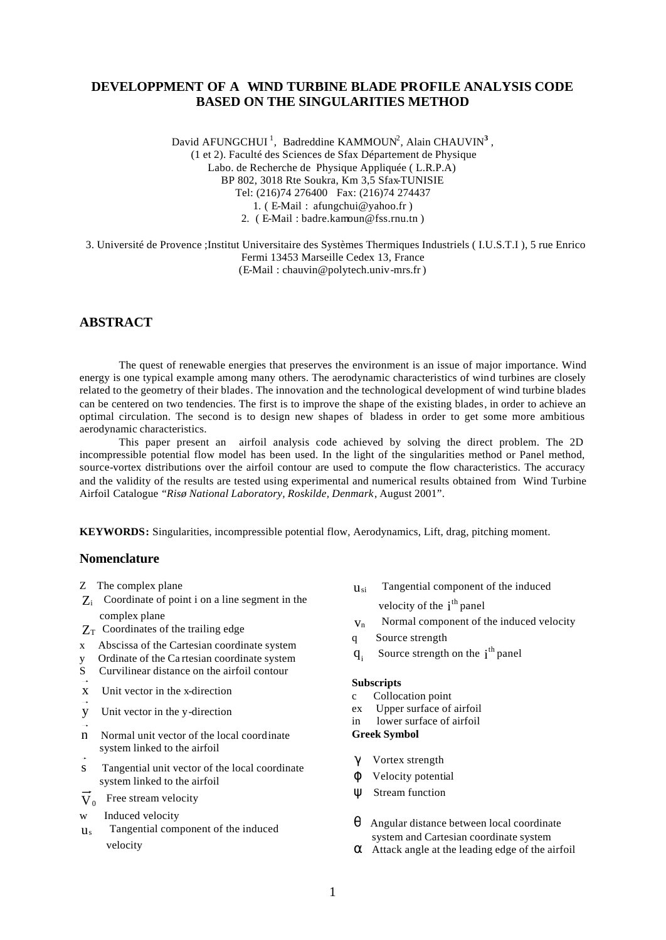# **DEVELOPPMENT OF A WIND TURBINE BLADE PROFILE ANALYSIS CODE BASED ON THE SINGULARITIES METHOD**

David AFUNGCHUI<sup>1</sup>, Badreddine KAMMOUN<sup>2</sup>, Alain CHAUVIN<sup>3</sup>, (1 et 2). Faculté des Sciences de Sfax Département de Physique Labo. de Recherche de Physique Appliquée ( L.R.P.A) BP 802, 3018 Rte Soukra, Km 3,5 Sfax-TUNISIE Tel: (216)74 276400 Fax: (216)74 274437 1. ( E-Mail : afungchui@yahoo.fr ) 2. ( E-Mail : badre.kamoun@fss.rnu.tn )

 3. Université de Provence ;Institut Universitaire des Systèmes Thermiques Industriels ( I.U.S.T.I ), 5 rue Enrico Fermi 13453 Marseille Cedex 13, France (E-Mail : chauvin@polytech.univ-mrs.fr )

# **ABSTRACT**

The quest of renewable energies that preserves the environment is an issue of major importance. Wind energy is one typical example among many others. The aerodynamic characteristics of wind turbines are closely related to the geometry of their blades. The innovation and the technological development of wind turbine blades can be centered on two tendencies. The first is to improve the shape of the existing blades, in order to achieve an optimal circulation. The second is to design new shapes of bladess in order to get some more ambitious aerodynamic characteristics.

This paper present an airfoil analysis code achieved by solving the direct problem. The 2D incompressible potential flow model has been used. In the light of the singularities method or Panel method, source-vortex distributions over the airfoil contour are used to compute the flow characteristics. The accuracy and the validity of the results are tested using experimental and numerical results obtained from Wind Turbine Airfoil Catalogue *"Risø National Laboratory, Roskilde, Denmark*, August 2001".

**KEYWORDS:** Singularities, incompressible potential flow, Aerodynamics, Lift, drag, pitching moment.

# **Nomenclature**

- Z The complex plane
- $Z_i$  Coordinate of point i on a line segment in the complex plane
- $Z_T$  Coordinates of the trailing edge
- x Abscissa of the Cartesian coordinate system
- y Ordinate of the Ca rtesian coordinate system
- S Curvilinear distance on the airfoil contour
- x Unit vector in the x-direction
- y Unit vector in the y-direction
- n Normal unit vector of the local coordinate system linked to the airfoil
- s Tangential unit vector of the local coordinate system linked to the airfoil
- $\overline{V}_0$  Free stream velocity
- w Induced velocity
- $u<sub>s</sub>$  Tangential component of the induced velocity

 $u_{si}$  Tangential component of the induced

velocity of the  $i<sup>th</sup>$  panel

- vn Normal component of the induced velocity
- q Source strength
- $q_i$ Source strength on the  $i<sup>th</sup>$  panel

#### **Subscripts**

- c Collocation point
- ex Upper surface of airfoil
- in lower surface of airfoil

## **Greek Symbol**

- γ Vortex strength
- ϕ Velocity potential
- ψ Stream function
- $\theta$  Angular distance between local coordinate system and Cartesian coordinate system
- $\alpha$  Attack angle at the leading edge of the airfoil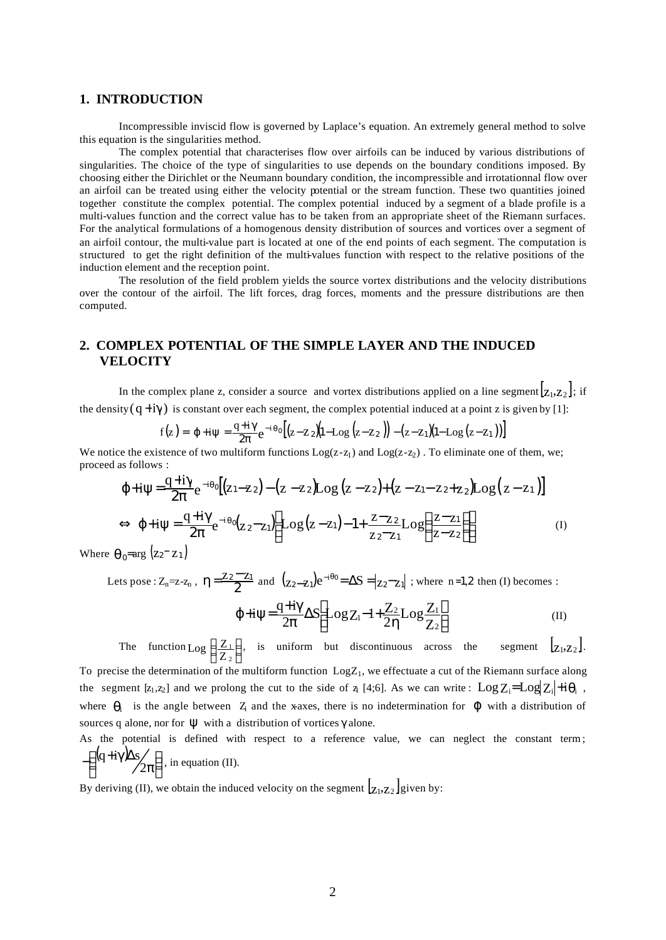#### **1. INTRODUCTION**

Incompressible inviscid flow is governed by Laplace's equation. An extremely general method to solve this equation is the singularities method.

The complex potential that characterises flow over airfoils can be induced by various distributions of singularities. The choice of the type of singularities to use depends on the boundary conditions imposed. By choosing either the Dirichlet or the Neumann boundary condition, the incompressible and irrotationnal flow over an airfoil can be treated using either the velocity potential or the stream function. These two quantities joined together constitute the complex potential. The complex potential induced by a segment of a blade profile is a multi-values function and the correct value has to be taken from an appropriate sheet of the Riemann surfaces. For the analytical formulations of a homogenous density distribution of sources and vortices over a segment of an airfoil contour, the multi-value part is located at one of the end points of each segment. The computation is structured to get the right definition of the multi-values function with respect to the relative positions of the induction element and the reception point.

The resolution of the field problem yields the source vortex distributions and the velocity distributions over the contour of the airfoil. The lift forces, drag forces, moments and the pressure distributions are then computed.

# **2. COMPLEX POTENTIAL OF THE SIMPLE LAYER AND THE INDUCED VELOCITY**

In the complex plane z, consider a source and vortex distributions applied on a line segment  $\vert_{Z_1,Z_2}\vert$ ; if the density  $(q+i\gamma)$  is constant over each segment, the complex potential induced at a point z is given by [1]:

$$
f(z) = \varphi + i\psi = \frac{q + i\gamma}{2\pi}e^{-i\theta_0}\left[\left(z - z_2\right)\left(1 - \text{Log}\left(z - z_2\right)\right) - \left(z - z_1\right)\left(1 - \text{Log}\left(z - z_1\right)\right)\right]
$$

We notice the existence of two multiform functions  $Log(z-z_1)$  and  $Log(z-z_2)$ . To eliminate one of them, we; proceed as follows :

$$
\varphi + i\psi = \frac{q + i\gamma}{2\pi} e^{-i\theta_0} [(z_1 - z_2) - (z - z_2) \text{Log}(z - z_2) + (z - z_1 - z_2 + z_2) \text{Log}(z - z_1)]
$$
  
\n
$$
\Leftrightarrow \varphi + i\psi = \frac{q + i\gamma}{2\pi} e^{-i\theta_0} (z_2 - z_1) \left[ \text{Log}(z - z_1) - 1 + \frac{z - z_2}{z_2 - z_1} \text{Log}\left(\frac{z - z_1}{z - z_2}\right) \right]
$$
(I)

Where  $\theta_0 = \arg (z_2 - z_1)$ 

Lets pose :  $Z_n = z - z_n$ ,  $\eta = \frac{z_2 - z_1}{2}$  and  $(z_2 - z_1)e^{-i\theta_0} = \Delta S = |z_2 - z_1|$ ; where n=1,2 then (I) becomes :

$$
\varphi + i\psi = \frac{q + i\gamma}{2\pi} \Delta S \left[ \text{Log} Z_1 - 1 + \frac{Z_2}{2\eta} \text{Log} \frac{Z_1}{Z_2} \right] \tag{II}
$$

The function Log  $\left(\frac{Z_1}{Z_2}\right)$  $\left(\frac{Z_1}{Z_2}\right)$ ſ Log  $\left(\frac{Z_1}{Z_2}\right)$ , is uniform but discontinuous across the segment  $\left[\frac{Z_1}{Z_1}, \frac{Z_2}{Z_2}\right]$ . To precise the determination of the multiform function  $Log Z_1$ , we effectuate a cut of the Riemann surface along the segment  $[z_1,z_2]$  and we prolong the cut to the side of  $z_1$  [4;6]. As we can write :  $\text{Log } Z_i = \text{Log } Z_i + i \theta_i$ , where  $\theta_i$  is the angle between Z<sub>i</sub> and the x-axes, there is no indetermination for  $\phi$  with a distribution of sources q alone, nor for  $\Psi$  with a distribution of vortices  $\gamma$  alone.

As the potential is defined with respect to a reference value, we can neglect the constant term ;  $\exp(\frac{4i\pi x}{2\pi})$  $\left(\frac{(\text{q}+{\text{i}}\gamma)\Delta s}{2\pi}\right)$ ſ  $-\left(\frac{(\mathbf{q}+i\gamma)\Delta s}{2\pi}\right)$  $q+i\gamma\Delta s\left( \frac{1}{2\pi}\right)$ , in equation (II).

By deriving (II), we obtain the induced velocity on the segment  $\left[\mathbf{z}_1, \mathbf{z}_2\right]$  given by: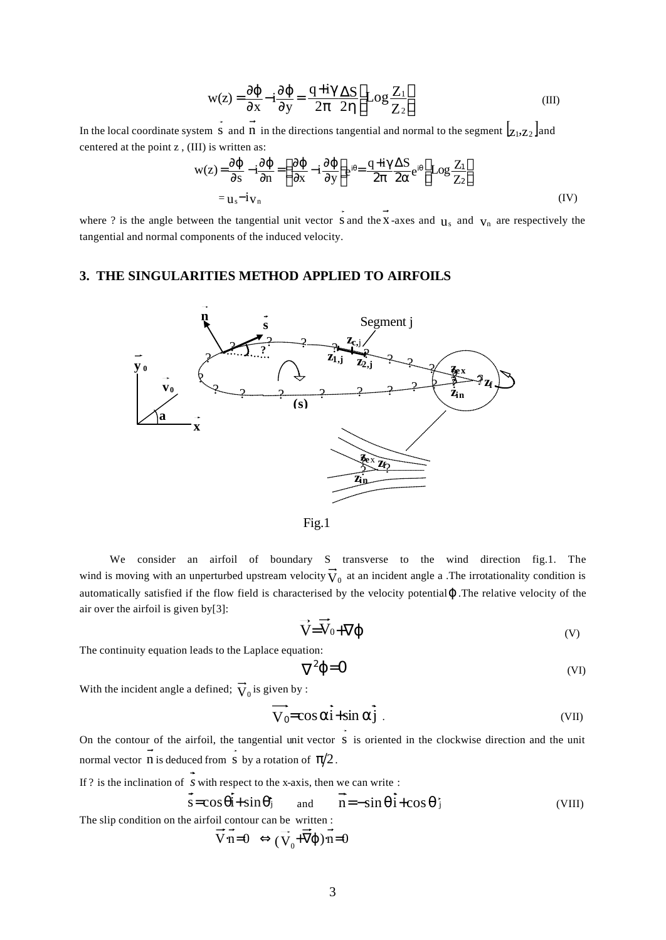$$
w(z) = \frac{\partial \varphi}{\partial x} - i \frac{\partial \varphi}{\partial y} = \frac{q + i\gamma}{2\pi} \frac{\Delta S}{2\eta} \left[ Log \frac{Z_1}{Z_2} \right]
$$
(III)

In the local coordinate system S and n in the directions tangential and normal to the segment  $\left[\mathbf{z}_1, \mathbf{z}_2\right]$  and centered at the point z , (III) is written as:

$$
w(z) = \frac{\partial \phi}{\partial s} - i \frac{\partial \phi}{\partial n} = \left(\frac{\partial \phi}{\partial x} - i \frac{\partial \phi}{\partial y}\right) e^{i\theta} = \frac{q + i\gamma}{2\pi} \frac{\Delta S}{2\alpha} e^{i\theta} \left[ Log \frac{Z_1}{Z_2} \right]
$$
  
=  $u_s - i v_n$  (IV)

where ? is the angle between the tangential unit vector S and the X-axes and  $\mathbf{u}_s$  and  $\mathbf{v}_n$  are respectively the tangential and normal components of the induced velocity.

# **3. THE SINGULARITIES METHOD APPLIED TO AIRFOILS**





 We consider an airfoil of boundary S transverse to the wind direction fig.1. The wind is moving with an unperturbed upstream velocity  $V_0$  at an incident angle a .The irrotationality condition is automatically satisfied if the flow field is characterised by the velocity potentialΦ. The relative velocity of the air over the airfoil is given by[3]:

$$
\vec{V} = \vec{V}_0 + \nabla \phi \tag{V}
$$

The continuity equation leads to the Laplace equation:

$$
\nabla^2 \varphi = 0 \tag{VI}
$$

With the incident angle a defined;  $V_0$  is given by :

$$
\overline{V}_0 = \cos \alpha \overline{i} + \sin \alpha \overline{j} \tag{VII}
$$

On the contour of the airfoil, the tangential unit vector S is oriented in the clockwise direction and the unit normal vector **n** is deduced from **s** by a rotation of  $\pi/2$ .

If ? is the inclination of  $\overrightarrow{s}$  with respect to the x-axis, then we can write :

$$
s = \cos\theta i + \sin\theta \quad \text{and} \quad n = -\sin\theta i + \cos\theta \quad \text{(VIII)}
$$
\nThe slip condition on the airfoil contour can be written :  
\n
$$
\vec{V} \cdot \vec{n} = 0 \iff (\vec{V}_0 + \vec{\nabla}\phi) \cdot \vec{n} = 0
$$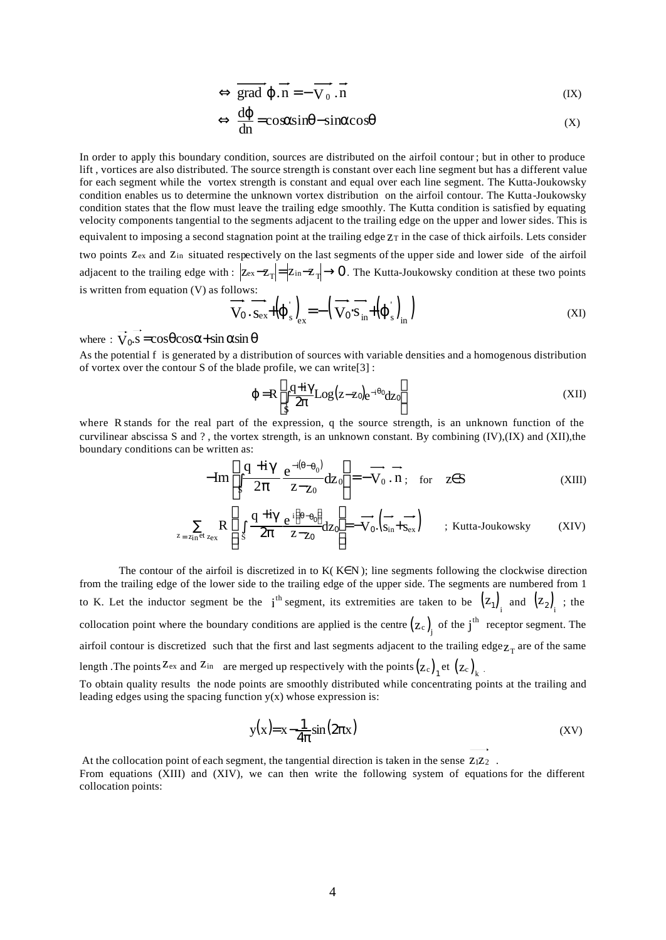$$
\Leftrightarrow \overrightarrow{\text{grad }\varphi.n} = -\overrightarrow{V_0.n} \tag{IX}
$$

$$
\Leftrightarrow \frac{d\varphi}{dn} = \cos\alpha \sin\theta - \sin\alpha \cos\theta \tag{X}
$$

In order to apply this boundary condition, sources are distributed on the airfoil contour; but in other to produce lift , vortices are also distributed. The source strength is constant over each line segment but has a different value for each segment while the vortex strength is constant and equal over each line segment. The Kutta-Joukowsky condition enables us to determine the unknown vortex distribution on the airfoil contour. The Kutta-Joukowsky condition states that the flow must leave the trailing edge smoothly. The Kutta condition is satisfied by equating velocity components tangential to the segments adjacent to the trailing edge on the upper and lower sides. This is equivalent to imposing a second stagnation point at the trailing edge  $Z<sub>T</sub>$  in the case of thick airfoils. Lets consider two points Z<sub>ex</sub> and Z<sub>in</sub> situated respectively on the last segments of the upper side and lower side of the airfoil adjacent to the trailing edge with :  $|z_{ex}-z_T| = |z_{in}-z_T| \to 0$ . The Kutta-Joukowsky condition at these two points is written from equation (V) as follows:

$$
\overrightarrow{\mathbf{V}_{0}}.\overrightarrow{\mathbf{s}_{ex}}+\left(\boldsymbol{\phi}_{s}\right)_{\mathbf{ex}}=-\left(\overrightarrow{\mathbf{V}_{0}}\cdot\overrightarrow{\mathbf{s}}_{in}+\left(\boldsymbol{\phi}_{s}\right)_{in}\right)
$$
(XI)

where :  $V_0$ .s =  $\cos\theta \cos\alpha + \sin\alpha \sin\theta$ 

As the potential f is generated by a distribution of sources with variable densities and a homogenous distribution of vortex over the contour S of the blade profile, we can write[3] :

$$
\varphi = R \left[ \int_{S} \frac{q + i\gamma}{2\pi} Log(z - z_0) e^{-i\theta_0} dz_0 \right]
$$
 (XII)

where R stands for the real part of the expression, q the source strength, is an unknown function of the curvilinear abscissa S and ? , the vortex strength, is an unknown constant. By combining (IV),(IX) and (XII),the boundary conditions can be written as:

$$
-\text{Im}\left[\int_{S} \frac{q + i\gamma}{2\pi} \frac{e^{-i(\theta - \theta_0)}}{z - z_0} dz_0\right] = -\overrightarrow{V}_0 \cdot \overrightarrow{n}; \text{ for } z \in S
$$
 (XIII)

$$
\sum_{z = z_{in} \text{et } z_{ex}} R\left[ \int_{S} \frac{q + i\gamma e^{i\left(\theta - \theta_{0}\right)}}{2\pi z - z_{0}} dz_{0} \right] = -\overrightarrow{V}_{0} \cdot (\overrightarrow{s_{in}} + \overrightarrow{s_{ex}}) \qquad ; \text{Kutta-Joukowski} \tag{XIV}
$$

The contour of the airfoil is discretized in to  $K(K\in\mathbb{N})$ ; line segments following the clockwise direction from the trailing edge of the lower side to the trailing edge of the upper side. The segments are numbered from 1 to K. Let the inductor segment be the  $i<sup>th</sup>$  segment, its extremities are taken to be  $(z_1)_i$  and  $(z_2)_i$ ; the collocation point where the boundary conditions are applied is the centre  $(z_c)$  of the j<sup>th</sup> receptor segment. The airfoil contour is discretized such that the first and last segments adjacent to the trailing  $edge_{T}$  are of the same length . The points  $Z_{\text{ex}}$  and  $Z_{\text{in}}$  are merged up respectively with the points  $(z_c)_{1}$  et  $(z_c)_{k}$ .

To obtain quality results the node points are smoothly distributed while concentrating points at the trailing and leading edges using the spacing function  $y(x)$  whose expression is:

$$
y(x) = x - \frac{1}{4\pi} \sin(2\pi x)
$$
 (XV)

At the collocation point of each segment, the tangential direction is taken in the sense  $Z_1Z_2$ .

From equations (XIII) and (XIV), we can then write the following system of equations for the different collocation points: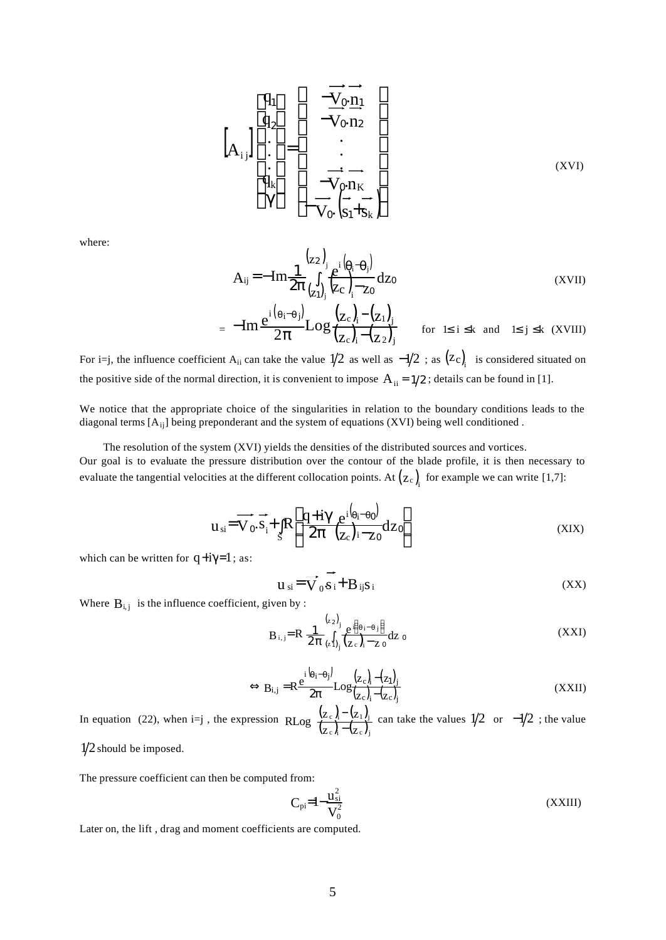$$
\begin{bmatrix}\n\mathbf{q}_{1} \\
\mathbf{q}_{2} \\
\vdots \\
\mathbf{q}_{k} \\
\gamma\n\end{bmatrix} = \begin{bmatrix}\n-\overrightarrow{V}_{0} \cdot \overrightarrow{n}_{1} \\
-\overrightarrow{V}_{0} \cdot \overrightarrow{n}_{2} \\
\vdots \\
-\overrightarrow{V}_{0} \cdot \overrightarrow{n}_{K} \\
-\overrightarrow{V}_{0} \cdot \overrightarrow{S}_{1} + S_{k}\n\end{bmatrix}
$$
\n(XVI)

where:

$$
A_{ij} = -Im \frac{1}{2\pi} \int_{(z_1)}^{(z_2)} \int_{(z_1)}^{(z_2 - \theta_j)} \frac{e^{i(\theta_i - \theta_j)}}{(z_1 - z_0)} dz_0
$$
\n
$$
(XVII)
$$
\n
$$
i(\theta_i - \theta_i) = \int_{(z_1 - \theta_i)}^{(z_2 - \theta_j)} \frac{1}{(z_1 - \theta_j)} dz_0
$$

$$
= -\mathrm{Im}\frac{e^{i(\theta_i-\theta_j)}}{2\pi}\mathrm{Log}\frac{(z_c)_i - (z_1)_j}{(z_c)_i - (z_2)_j} \qquad \text{for } \le i \le k \text{ and } \le j \le k \text{ (XVIII)}
$$

For i=j, the influence coefficient A<sub>ii</sub> can take the value  $1/2$  as well as  $-1/2$ ; as  $(z_c)$ <sub>i</sub> is considered situated on the positive side of the normal direction, it is convenient to impose  $A_{ii} = 1/2$ ; details can be found in [1].

We notice that the appropriate choice of the singularities in relation to the boundary conditions leads to the diagonal terms [Aij] being preponderant and the system of equations (XVI) being well conditioned .

 The resolution of the system (XVI) yields the densities of the distributed sources and vortices. Our goal is to evaluate the pressure distribution over the contour of the blade profile, it is then necessary to evaluate the tangential velocities at the different collocation points. At  $(z_c)$  for example we can write [1,7]:

$$
u_{si} = \overrightarrow{V_0 \cdot s_i} + \int_s R \left[ \frac{q + i\gamma e^{i(\theta_i - \theta_0)}}{2\pi \left( z_c \right) i - z_0} dz_0 \right]
$$
 (XIX)

which can be written for  $q + i\gamma = 1$ ; as:

$$
\mathbf{u}_{si} = \mathbf{v}_0 \mathbf{s}_i + \mathbf{B}_{ij} \mathbf{s}_i
$$
 (XX)

Where  $B_{i,j}$  is the influence coefficient, given by :

$$
B_{i,j} = R \frac{1}{2\pi} \int_{(z_1)}^{(z_2)} \frac{e^{i\left(\theta_i - \theta_j\right)}}{(z_c)_i - z_0} dz_0
$$
 (XXI)

$$
\Leftrightarrow B_{i,j} = R \frac{e^{i\left(\theta_{i}-\theta_{j}\right)}}{2\pi} Log \frac{\left(z_{c}\right)_{i}-\left(z_{1}\right)_{j}}{\left(z_{c}\right)_{i}-\left(z_{c}\right)_{j}} \tag{XXII}
$$

In equation (22), when i=j, the expression  $R_{LO}$   $\frac{(z_c)_1 - (z_1)_2}{(z_2 - (z_2)_2)^2}$  $\frac{(Z_c)_{i} - (Z_1)_{j}}{(Z_c)_{i} - (Z_c)_{j}}$  $z_c$ <sub>i</sub>- $(z$ RLog  $\frac{(z_c)_i - (z_c)_i}{(z_c)_i - (z_c)_i}$  $\frac{-(z_1)_i}{z_1}$  can take the values  $\frac{1}{2}$  or  $\frac{-1}{2}$ ; the value

 $1/2$  should be imposed.

The pressure coefficient can then be computed from:

$$
C_{pi} = 1 - \frac{u_{si}^2}{V_0^2}
$$
 (XXIII)

Later on, the lift , drag and moment coefficients are computed.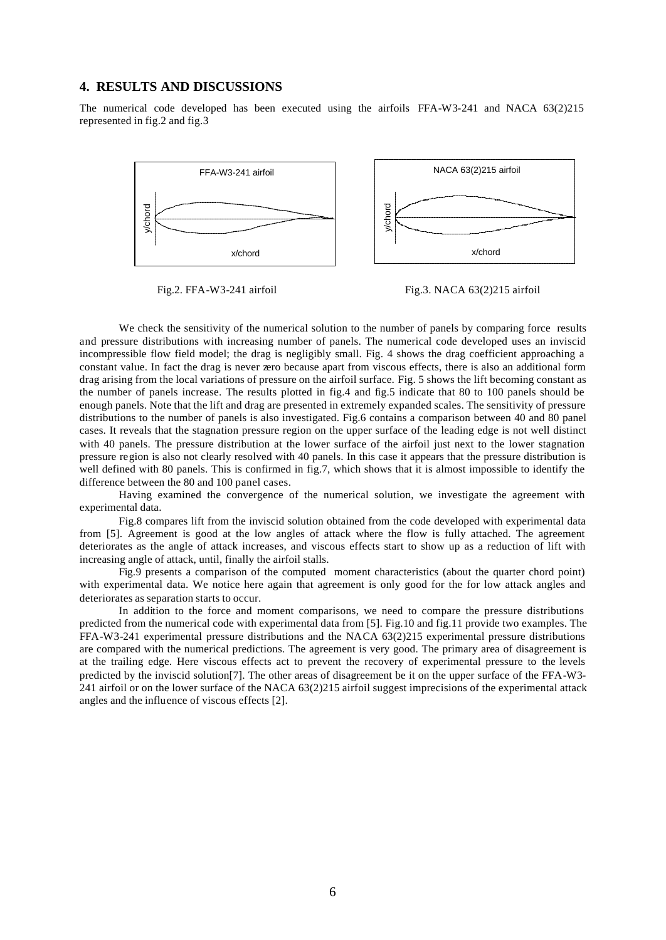### **4. RESULTS AND DISCUSSIONS**

The numerical code developed has been executed using the airfoils FFA-W3-241 and NACA 63(2)215 represented in fig.2 and fig.3



Fig.2. FFA-W3-241 airfoil Fig.3. NACA 63(2)215 airfoil

We check the sensitivity of the numerical solution to the number of panels by comparing force results and pressure distributions with increasing number of panels. The numerical code developed uses an inviscid incompressible flow field model; the drag is negligibly small. Fig. 4 shows the drag coefficient approaching a constant value. In fact the drag is never zero because apart from viscous effects, there is also an additional form drag arising from the local variations of pressure on the airfoil surface. Fig. 5 shows the lift becoming constant as the number of panels increase. The results plotted in fig.4 and fig.5 indicate that 80 to 100 panels should be enough panels. Note that the lift and drag are presented in extremely expanded scales. The sensitivity of pressure distributions to the number of panels is also investigated. Fig.6 contains a comparison between 40 and 80 panel cases. It reveals that the stagnation pressure region on the upper surface of the leading edge is not well distinct with 40 panels. The pressure distribution at the lower surface of the airfoil just next to the lower stagnation pressure region is also not clearly resolved with 40 panels. In this case it appears that the pressure distribution is well defined with 80 panels. This is confirmed in fig.7, which shows that it is almost impossible to identify the difference between the 80 and 100 panel cases.

Having examined the convergence of the numerical solution, we investigate the agreement with experimental data.

Fig.8 compares lift from the inviscid solution obtained from the code developed with experimental data from [5]. Agreement is good at the low angles of attack where the flow is fully attached. The agreement deteriorates as the angle of attack increases, and viscous effects start to show up as a reduction of lift with increasing angle of attack, until, finally the airfoil stalls.

Fig.9 presents a comparison of the computed moment characteristics (about the quarter chord point) with experimental data. We notice here again that agreement is only good for the for low attack angles and deteriorates as separation starts to occur.

In addition to the force and moment comparisons, we need to compare the pressure distributions predicted from the numerical code with experimental data from [5]. Fig.10 and fig.11 provide two examples. The FFA-W3-241 experimental pressure distributions and the NACA 63(2)215 experimental pressure distributions are compared with the numerical predictions. The agreement is very good. The primary area of disagreement is at the trailing edge. Here viscous effects act to prevent the recovery of experimental pressure to the levels predicted by the inviscid solution[7]. The other areas of disagreement be it on the upper surface of the FFA-W3- 241 airfoil or on the lower surface of the NACA 63(2)215 airfoil suggest imprecisions of the experimental attack angles and the influence of viscous effects [2].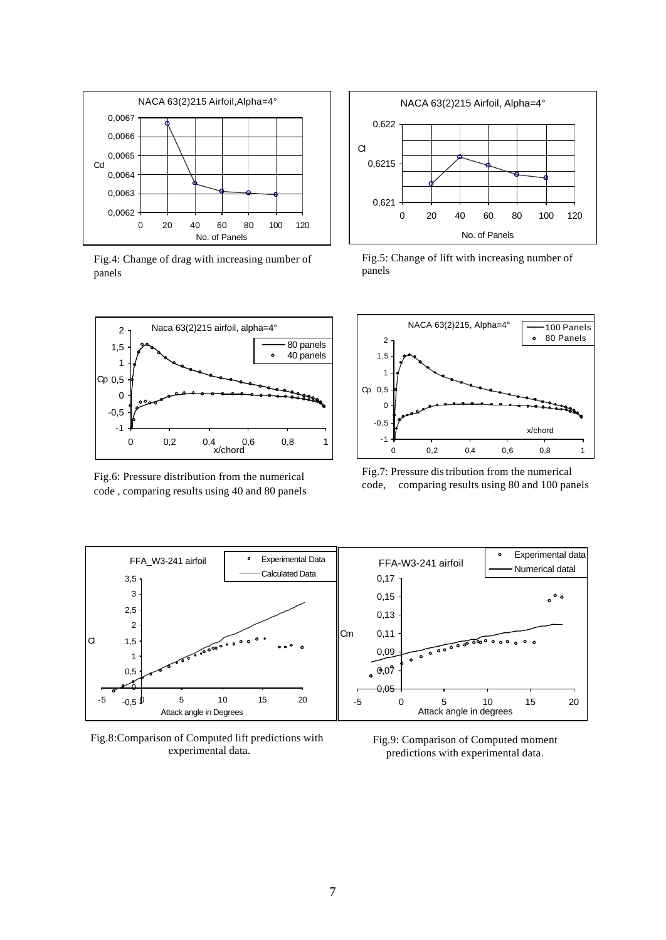

Fig.4: Change of drag with increasing number of panels



Fig.6: Pressure distribution from the numerical code , comparing results using 40 and 80 panels



Fig.5: Change of lift with increasing number of panels



Fig.7: Pressure distribution from the numerical code, comparing results using 80 and 100 panels



Fig.8:Comparison of Computed lift predictions with experimental data.

Fig.9: Comparison of Computed moment predictions with experimental data.